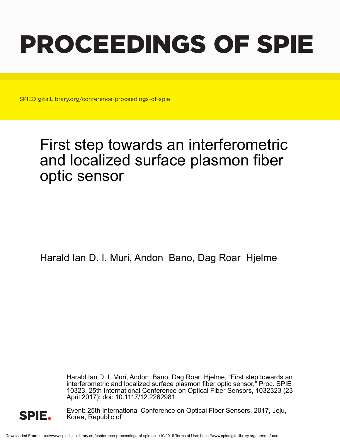# PROCEEDINGS OF SPIE

SPIEDigitalLibrary.org/conference-proceedings-of-spie

## First step towards an interferometric and localized surface plasmon fiber optic sensor

Harald Ian D. I. Muri, Andon Bano, Dag Roar Hjelme

Harald Ian D. I. Muri, Andon Bano, Dag Roar Hjelme, "First step towards an interferometric and localized surface plasmon fiber optic sensor," Proc. SPIE 10323, 25th International Conference on Optical Fiber Sensors, 1032323 (23 April 2017); doi: 10.1117/12.2262981



Event: 25th International Conference on Optical Fiber Sensors, 2017, Jeju, Korea, Republic of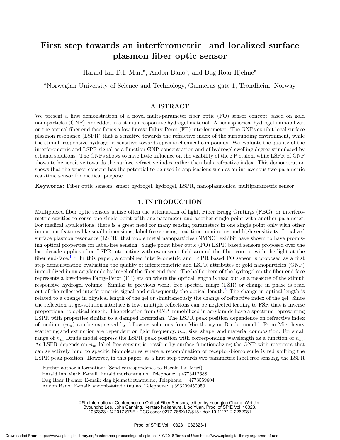### First step towards an interferometric and localized surface plasmon fiber optic sensor

Harald Ian D.I. Muri<sup>a</sup>, Andon Bano<sup>a</sup>, and Dag Roar Hjelme<sup>a</sup>

<sup>a</sup>Norwegian University of Science and Technology, Gunnerus gate 1, Trondheim, Norway

#### ABSTRACT

We present a first demonstration of a novel multi-parameter fiber optic (FO) sensor concept based on gold nanoparticles (GNP) embedded in a stimuli-responsive hydrogel material. A hemispherical hydrogel immobilized on the optical fiber end-face forms a low-finesse Fabry-Perot (FP) interferometer. The GNPs exhibit local surface plasmon resonance (LSPR) that is sensitive towards the refractive index of the surrounding environment, while the stimuli-responsive hydrogel is sensitive towards specific chemical compounds. We evaluate the quality of the interferometric and LSPR signal as a function GNP concentration and of hydrogel swelling degree stimulated by ethanol solutions. The GNPs shows to have little influence on the visibility of the FP etalon, while LSPR of GNP shows to be sensitive towards the surface refractive index rather than bulk refractive index. This demonstration shows that the sensor concept has the potential to be used in applications such as an intravenous two-parametric real-time sensor for medical purpose.

Keywords: Fiber optic sensors, smart hydrogel, hydrogel, LSPR, nanoplasmonics, multiparametric sensor

#### 1. INTRODUCTION

Multiplexed fiber optic sensors utilize often the attenuation of light, Fiber Bragg Gratings (FBG), or interferometric cavities to sense one single point with one parameter and another single point with another parameter. For medical applications, there is a great need for many sensing parameters in one single point only with other important features like small dimensions, label-free sensing, real-time monitoring and high sensitivity. Localized surface plasmon resonance (LSPR) that noble metal nanoparticles (NMNO) exhibit have shown to have promising optical properties for label-free sensing. Single point fiber optic (FO) LSPR based sensors proposed over the last decade applies often LSPR interacting with evanescent field around the fiber core or with the light at the fiber end-face.<sup>1,2</sup> In this paper, a combined interferometric and LSPR based FO sensor is proposed as a first step demonstration evaluating the quality of interferometric and LSPR attributes of gold nanoparticles (GNP) immobilized in an acrylamide hydrogel of the fiber end-face. The half-sphere of the hydrogel on the fiber end face represents a low-finesse Fabry-Perot (FP) etalon where the optical length is read out as a measure of the stimuli responsive hydrogel volume. Similar to previous work, free spectral range (FSR) or change in phase is read out of the reflected interferometric signal and subsequently the optical length.<sup>3</sup> The change in optical length is related to a change in physical length of the gel or simultaneously the change of refractive index of the gel. Since the reflection at gel-solution interface is low, multiple reflections can be neglected leading to FSR that is inverse proportional to optical length. The reflection from GNP immobilized in acrylamide have a spectrum representing LSPR with properties similar to a damped lorentzian. The LSPR peak position dependence on refractive index of medium  $(n_m)$  can be expressed by following solutions from Mie theory or Drude model.<sup>4</sup> From Mie theory scattering and extinction are dependent on light frequency,  $n<sub>m</sub>$ , size, shape, and material composition. For small range of  $n_m$  Drude model express the LSPR peak position with corresponding wavelength as a function of  $n_m$ . As LSPR depends on  $n_m$  label free sensing is possible by surface functionalizing the GNP with receptors that can selectively bind to specific biomolecules where a recombination of receptor-biomolecule is red shifting the LSPR peak position. However, in this paper, as a first step towards two parametric label free sensing, the LSPR

25th International Conference on Optical Fiber Sensors, edited by Youngjoo Chung, Wei Jin, Byoungho Lee, John Canning, Kentaro Nakamura, Libo Yuan, Proc. of SPIE Vol. 10323,

1032323 · © 2017 SPIE · CCC code: 0277-786X/17/\$18 · doi: 10.1117/12.2262981

Further author information: (Send correspondence to Harald Ian Muri)

Harald Ian Muri: E-mail: harald.muri@ntnu.no, Telephone: +4773412688

Dag Roar Hjelme: E-mail: dag.hjelme@iet.ntnu.no, Telephone: +4773559604

Andon Bano: E-mail: andonb@stud.ntnu.no, Telephone: +393209450050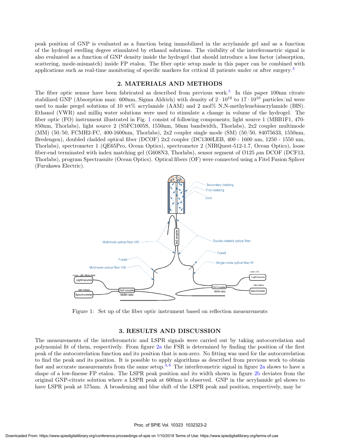peak position of GNP is evaluated as a function being immobilized in the acrylamide gel and as a function of the hydrogel swelling degree stimulated by ethanol solutions. The visibility of the interferometric signal is also evaluated as a function of GNP density inside the hydrogel that should introduce a loss factor (absorption, scattering, mode-mismatch) inside FP etalon. The fiber optic setup made in this paper can be combined with applications such as real-time monitoring of specific markers for critical ill patients under or after surgery.<sup>3</sup>

#### 2. MATERIALS AND METHODS

The fiber optic sensor have been fabricated as described from previous work.<sup>5</sup> In this paper 100nm citrate stabilized GNP (Absorption max: 600nm, Sigma Aldrich) with density of  $2 \cdot 10^{10}$  to  $17 \cdot 10^{10}$  particles/ml were used to make pregel solutions of 10 wt% acrylamide (AAM) and 2 mol% N,N-methylenebisacrylamide (BIS). Ethanol (VWR) and milliq water solutions were used to stimulate a change in volume of the hydrogel. The fiber optic (FO) instrument illustrated in Fig. 1 consist of following components; light source 1 (MBB1F1, 470- 850nm, Thorlabs), light source 2 (S5FC1005S, 1550nm, 50nm bandwidth, Thorlabs), 2x2 coupler multimode (MM) (50/50, FCMH2-FC, 400-1600nm, Thorlabs), 2x2 coupler single mode (SM) (50/50, 84075633, 1550nm, Bredengen), doubled cladded optical fiber (DCOF) 2x2 coupler (DC1300LEB, 400 - 1600 nm, 1250 - 1550 nm, Thorlabs), spectrometer 1 (QE65Pro, Ocean Optics), spectrometer 2 (NIRQuest-512-1.7, Ocean Optics), loose fiber-end terminated with index matching gel (G608N3, Thorlabs), sensor segment of  $\emptyset$ 125  $\mu$ m DCOF (DCF13, Thorlabs), program Spectrasuite (Ocean Optics). Optical fibers (OF) were connected using a Fitel Fusion Splicer (Furukawa Electric).



Figure 1: Set up of the fiber optic instrument based on reflection measurements

#### 3. RESULTS AND DISCUSSION

The measurements of the interferometric and LSPR signals were carried out by taking autocorrelation and polynomial fit of them, respectively. From figure 2a the FSR is determined by finding the position of the first peak of the autocorrelation function and its position that is non-zero. No fitting was used for the autocorrelation to find the peak and its position. It is possible to apply algorithms as described from previous work to obtain fast and accurate measurements from the same setup.<sup>3, 6</sup> The interferometric signal in figure  $2a$  shows to have a shape of a low-finesse FP etalon. The LSPR peak position and its width shown in figure 2b deviates from the original GNP-citrate solution where a LSPR peak at 600nm is observed. GNP in the acrylamide gel shows to have LSPR peak at 575nm. A broadening and blue shift of the LSPR peak and position, respectively, may be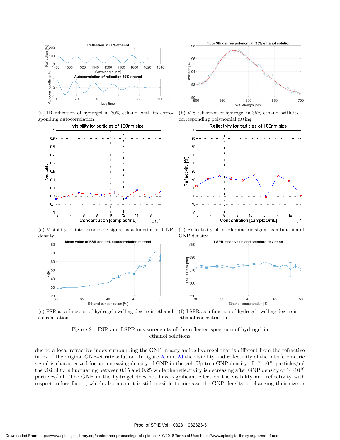

(a) IR reflection of hydrogel in 30% ethanol with its corresponding autocorrelation



(c) Visibility of interferometric signal as a function of GNP density



98 96 <sup>%</sup><br>Refletion 94<br>Reflexively 9290 500 Fit to 9th degree polynomial, 35% ethanol solution 550 600 Wavelength [nm] 650 700

(b) VIS reflection of hydrogel in 35% ethanol with its corresponding polynomial fitting



(d) Reflectivity of interferometric signal as a function of GNP density



(e) FSR as a function of hydrogel swelling degree in ethanol concentration

(f) LSPR as a function of hydrogel swelling degree in ethanol concentration

#### Figure 2: FSR and LSPR measurenemts of the reflected spectrum of hydrogel in ethanol solutions

due to a local refractive index surrounding the GNP in acrylamide hydrogel that is different from the refractive index of the original GNP-citrate solution. In figure 2c and 2d the visibility and reflectivity of the interferometric signal is characterized for an increasing density of GNP in the gel. Up to a GNP density of  $17 \cdot 10^{10}$  particles/ml the visibility is fluctuating between 0.15 and 0.25 while the reflectivity is decreasing after GNP density of  $14 \cdot 10^{10}$ particles/ml. The GNP in the hydrogel does not have significant effect on the visibility and reflectivity with respect to loss factor, which also mean it is still possible to increase the GNP density or changing their size or